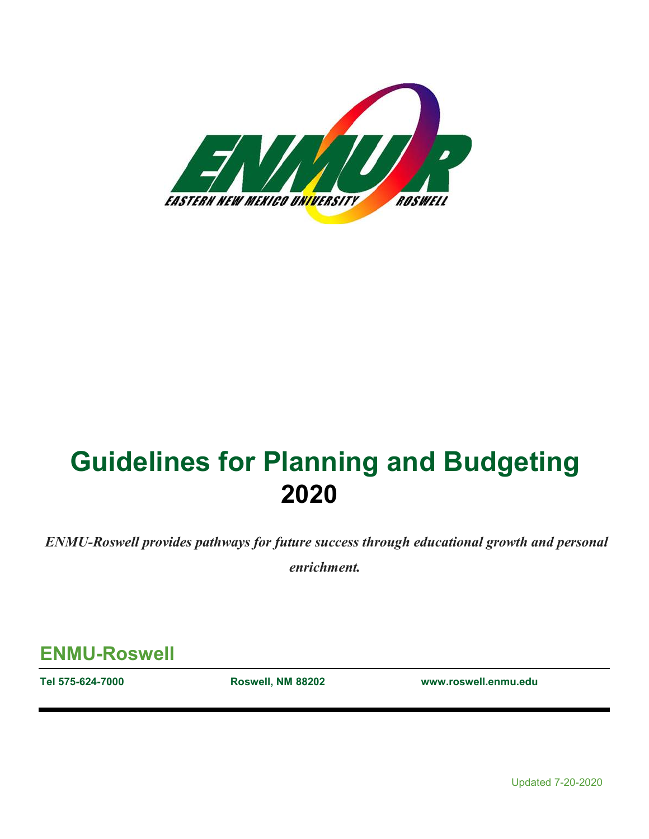

# **Guidelines for Planning and Budgeting 2020**

*ENMU-Roswell provides pathways for future success through educational growth and personal* 

*enrichment.*

**ENMU-Roswell**

**Tel 575-624-7000 Roswell, NM 88202 www.roswell.enmu.edu**

Updated 7-20-2020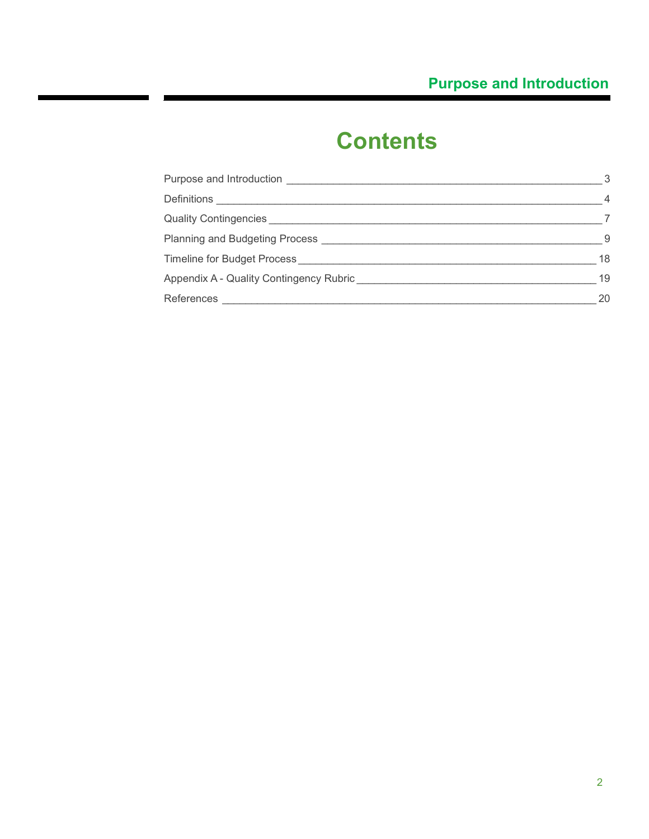# **Contents**

 $\overline{\phantom{a}}$ 

| Purpose and Introduction                | 3              |
|-----------------------------------------|----------------|
| Definitions $\_$                        | $\overline{4}$ |
| Quality Contingencies _____________     |                |
| Planning and Budgeting Process          | -9             |
| Timeline for Budget Process             | 18             |
| Appendix A - Quality Contingency Rubric | 19             |
| References                              | 20             |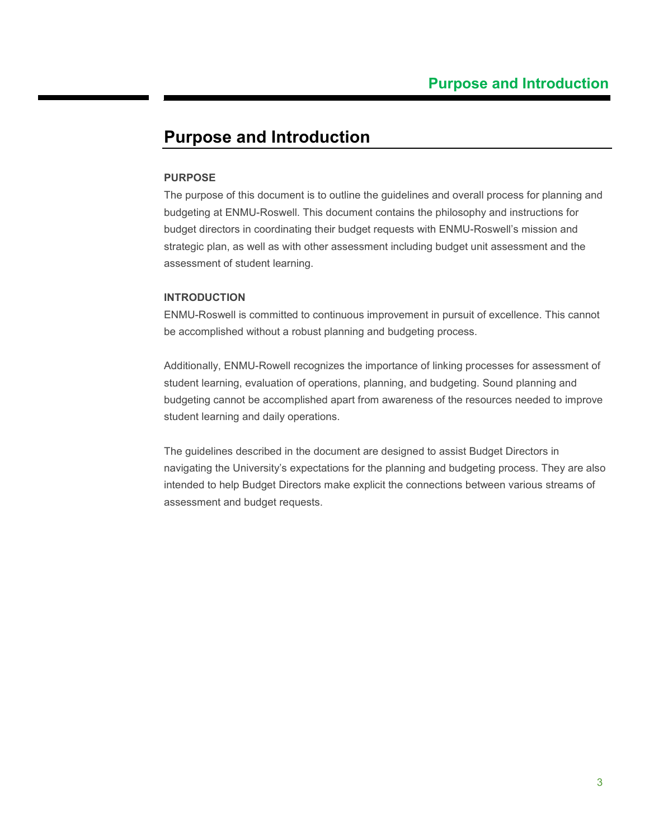### <span id="page-2-0"></span>**Purpose and Introduction**

#### **PURPOSE**

The purpose of this document is to outline the guidelines and overall process for planning and budgeting at ENMU-Roswell. This document contains the philosophy and instructions for budget directors in coordinating their budget requests with ENMU-Roswell's mission and strategic plan, as well as with other assessment including budget unit assessment and the assessment of student learning.

#### **INTRODUCTION**

ENMU-Roswell is committed to continuous improvement in pursuit of excellence. This cannot be accomplished without a robust planning and budgeting process.

Additionally, ENMU-Rowell recognizes the importance of linking processes for assessment of student learning, evaluation of operations, planning, and budgeting. Sound planning and budgeting cannot be accomplished apart from awareness of the resources needed to improve student learning and daily operations.

The guidelines described in the document are designed to assist Budget Directors in navigating the University's expectations for the planning and budgeting process. They are also intended to help Budget Directors make explicit the connections between various streams of assessment and budget requests.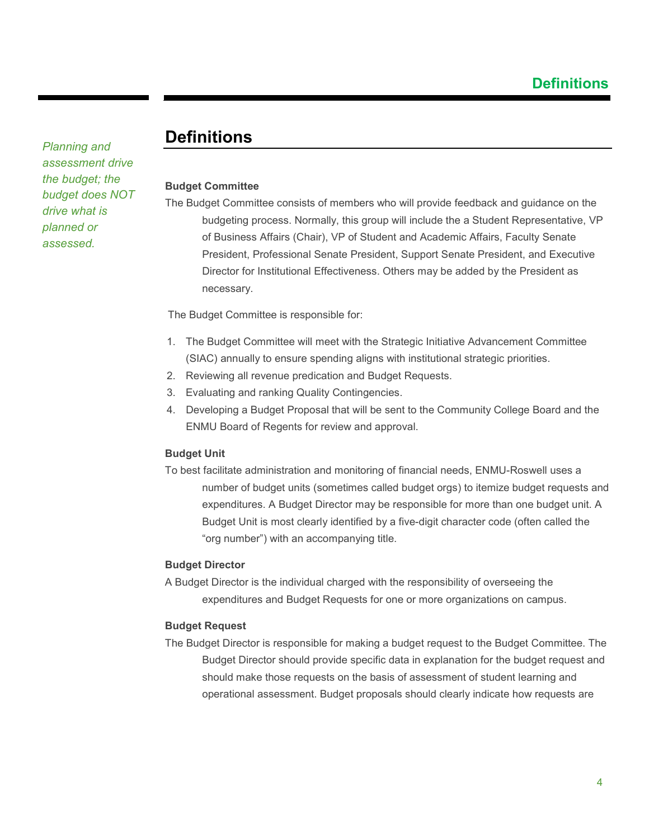### <span id="page-3-0"></span>**Definitions**

#### **Budget Committee**

The Budget Committee consists of members who will provide feedback and guidance on the budgeting process. Normally, this group will include the a Student Representative, VP of Business Affairs (Chair), VP of Student and Academic Affairs, Faculty Senate President, Professional Senate President, Support Senate President, and Executive Director for Institutional Effectiveness. Others may be added by the President as necessary.

The Budget Committee is responsible for:

- 1. The Budget Committee will meet with the Strategic Initiative Advancement Committee (SIAC) annually to ensure spending aligns with institutional strategic priorities.
- 2. Reviewing all revenue predication and Budget Requests.
- 3. Evaluating and ranking Quality Contingencies.
- 4. Developing a Budget Proposal that will be sent to the Community College Board and the ENMU Board of Regents for review and approval.

#### **Budget Unit**

To best facilitate administration and monitoring of financial needs, ENMU-Roswell uses a number of budget units (sometimes called budget orgs) to itemize budget requests and expenditures. A Budget Director may be responsible for more than one budget unit. A Budget Unit is most clearly identified by a five-digit character code (often called the "org number") with an accompanying title.

#### **Budget Director**

A Budget Director is the individual charged with the responsibility of overseeing the expenditures and Budget Requests for one or more organizations on campus.

#### **Budget Request**

The Budget Director is responsible for making a budget request to the Budget Committee. The Budget Director should provide specific data in explanation for the budget request and should make those requests on the basis of assessment of student learning and operational assessment. Budget proposals should clearly indicate how requests are

*Planning and assessment drive the budget; the budget does NOT drive what is planned or assessed.*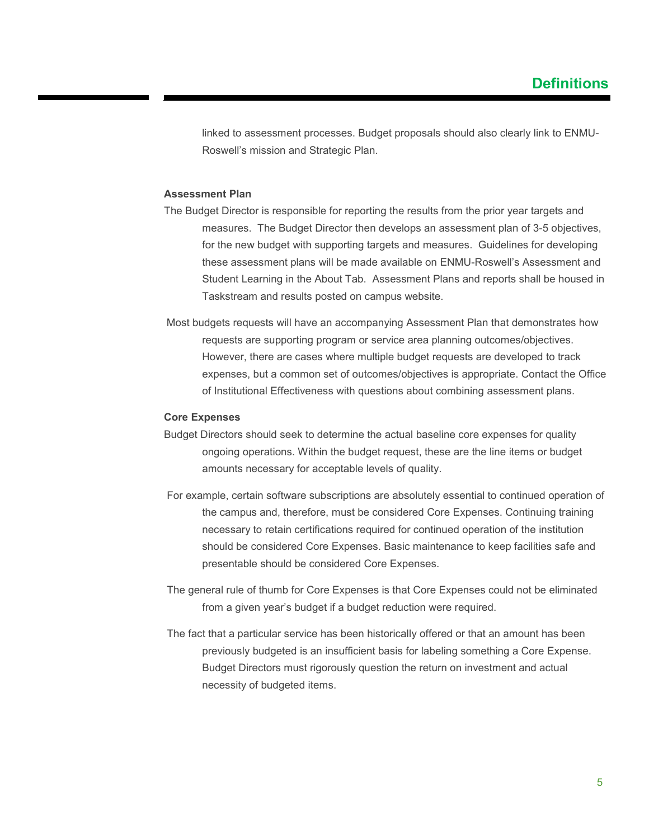linked to assessment processes. Budget proposals should also clearly link to ENMU-Roswell's mission and Strategic Plan.

#### **Assessment Plan**

- The Budget Director is responsible for reporting the results from the prior year targets and measures. The Budget Director then develops an assessment plan of 3-5 objectives, for the new budget with supporting targets and measures. Guidelines for developing these assessment plans will be made available on ENMU-Roswell's Assessment and Student Learning in the About Tab. Assessment Plans and reports shall be housed in Taskstream and results posted on campus website.
- Most budgets requests will have an accompanying Assessment Plan that demonstrates how requests are supporting program or service area planning outcomes/objectives. However, there are cases where multiple budget requests are developed to track expenses, but a common set of outcomes/objectives is appropriate. Contact the Office of Institutional Effectiveness with questions about combining assessment plans.

#### **Core Expenses**

- Budget Directors should seek to determine the actual baseline core expenses for quality ongoing operations. Within the budget request, these are the line items or budget amounts necessary for acceptable levels of quality.
- For example, certain software subscriptions are absolutely essential to continued operation of the campus and, therefore, must be considered Core Expenses. Continuing training necessary to retain certifications required for continued operation of the institution should be considered Core Expenses. Basic maintenance to keep facilities safe and presentable should be considered Core Expenses.
- The general rule of thumb for Core Expenses is that Core Expenses could not be eliminated from a given year's budget if a budget reduction were required.
- The fact that a particular service has been historically offered or that an amount has been previously budgeted is an insufficient basis for labeling something a Core Expense. Budget Directors must rigorously question the return on investment and actual necessity of budgeted items.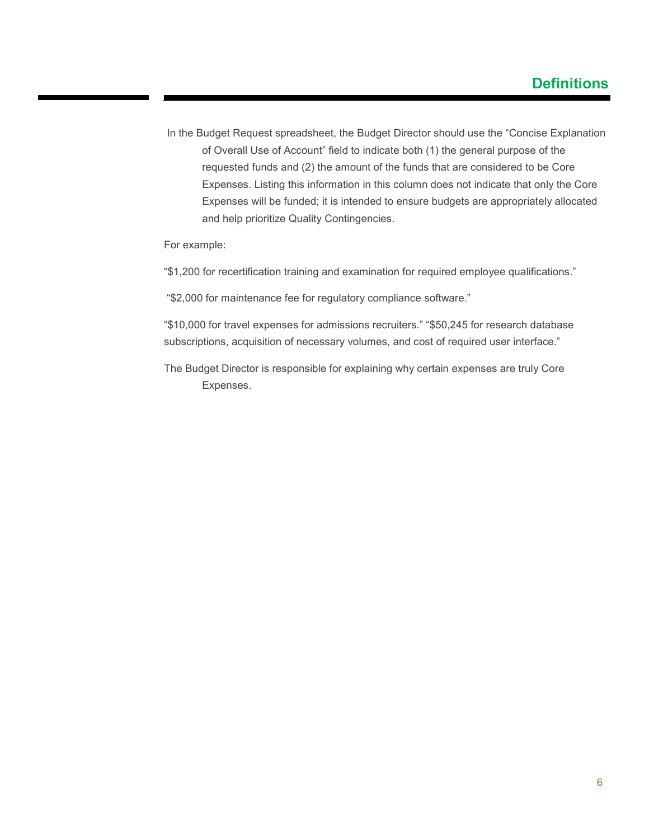In the Budget Request spreadsheet, the Budget Director should use the "Concise Explanation of Overall Use of Account" field to indicate both (1) the general purpose of the requested funds and (2) the amount of the funds that are considered to be Core Expenses. Listing this information in this column does not indicate that only the Core Expenses will be funded; it is intended to ensure budgets are appropriately allocated and help prioritize Quality Contingencies.

For example:

- "\$1,200 for recertification training and examination for required employee qualifications."
- "\$2,000 for maintenance fee for regulatory compliance software."

"\$10,000 for travel expenses for admissions recruiters." "\$50,245 for research database subscriptions, acquisition of necessary volumes, and cost of required user interface."

The Budget Director is responsible for explaining why certain expenses are truly Core Expenses.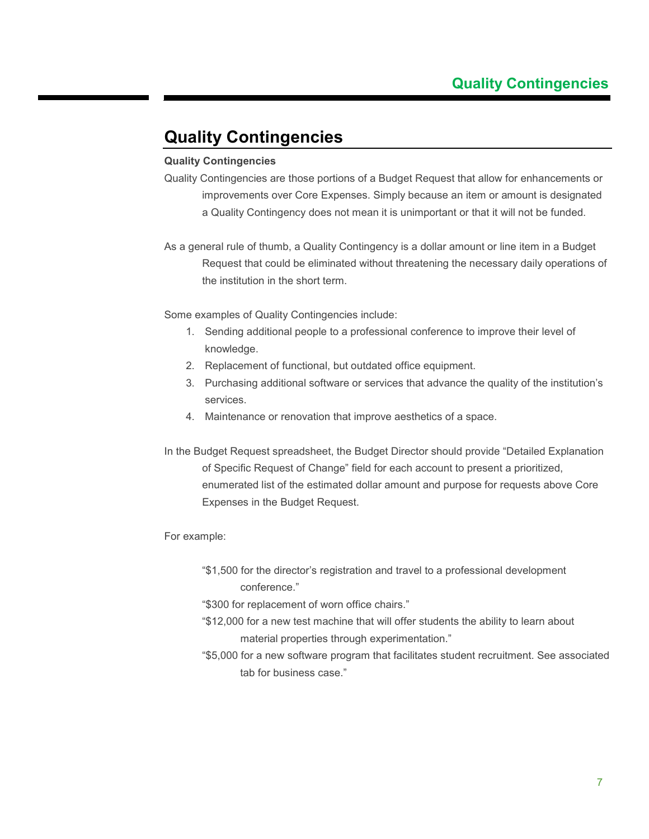### <span id="page-6-0"></span>**Quality Contingencies**

#### **Quality Contingencies**

- Quality Contingencies are those portions of a Budget Request that allow for enhancements or improvements over Core Expenses. Simply because an item or amount is designated a Quality Contingency does not mean it is unimportant or that it will not be funded.
- As a general rule of thumb, a Quality Contingency is a dollar amount or line item in a Budget Request that could be eliminated without threatening the necessary daily operations of the institution in the short term.

Some examples of Quality Contingencies include:

- 1. Sending additional people to a professional conference to improve their level of knowledge.
- 2. Replacement of functional, but outdated office equipment.
- 3. Purchasing additional software or services that advance the quality of the institution's services.
- 4. Maintenance or renovation that improve aesthetics of a space.
- In the Budget Request spreadsheet, the Budget Director should provide "Detailed Explanation of Specific Request of Change" field for each account to present a prioritized, enumerated list of the estimated dollar amount and purpose for requests above Core Expenses in the Budget Request.

#### For example:

"\$1,500 for the director's registration and travel to a professional development conference."

"\$300 for replacement of worn office chairs."

- "\$12,000 for a new test machine that will offer students the ability to learn about material properties through experimentation."
- "\$5,000 for a new software program that facilitates student recruitment. See associated tab for business case."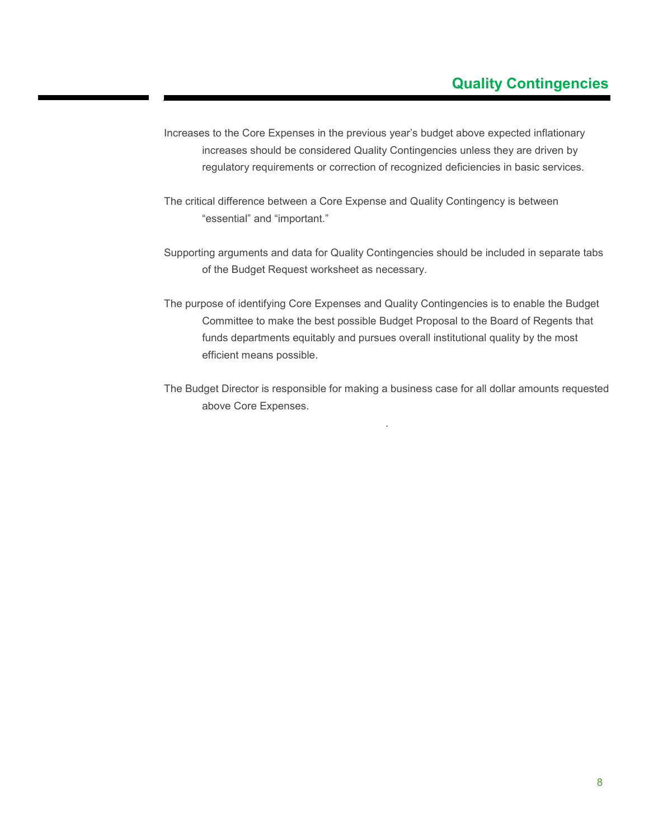### **Quality Contingencies**

- Increases to the Core Expenses in the previous year's budget above expected inflationary increases should be considered Quality Contingencies unless they are driven by regulatory requirements or correction of recognized deficiencies in basic services.
- The critical difference between a Core Expense and Quality Contingency is between "essential" and "important."
- Supporting arguments and data for Quality Contingencies should be included in separate tabs of the Budget Request worksheet as necessary.
- The purpose of identifying Core Expenses and Quality Contingencies is to enable the Budget Committee to make the best possible Budget Proposal to the Board of Regents that funds departments equitably and pursues overall institutional quality by the most efficient means possible.
- The Budget Director is responsible for making a business case for all dollar amounts requested above Core Expenses.

.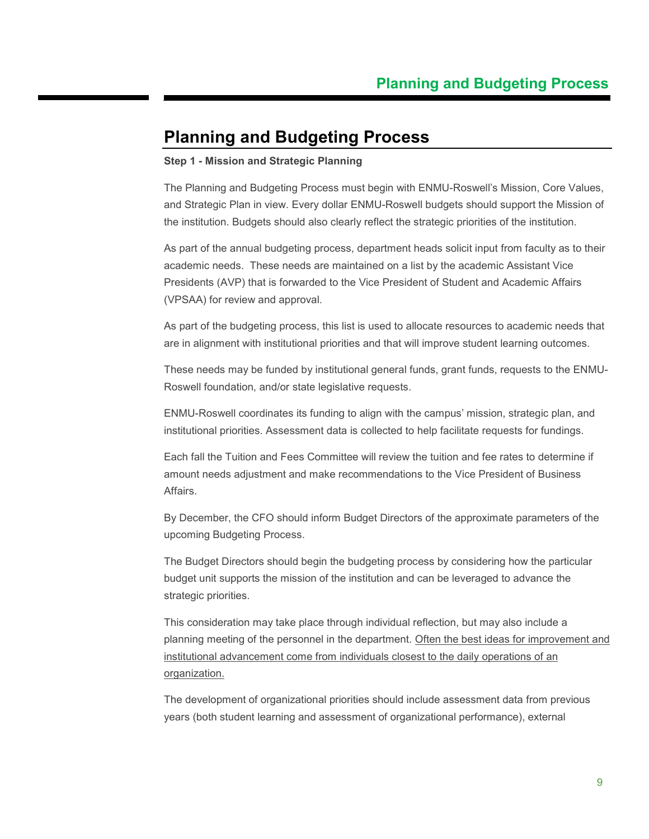### <span id="page-8-0"></span>**Planning and Budgeting Process**

#### **Step 1 - Mission and Strategic Planning**

The Planning and Budgeting Process must begin with ENMU-Roswell's Mission, Core Values, and Strategic Plan in view. Every dollar ENMU-Roswell budgets should support the Mission of the institution. Budgets should also clearly reflect the strategic priorities of the institution.

As part of the annual budgeting process, department heads solicit input from faculty as to their academic needs. These needs are maintained on a list by the academic Assistant Vice Presidents (AVP) that is forwarded to the Vice President of Student and Academic Affairs (VPSAA) for review and approval.

As part of the budgeting process, this list is used to allocate resources to academic needs that are in alignment with institutional priorities and that will improve student learning outcomes.

These needs may be funded by institutional general funds, grant funds, requests to the ENMU-Roswell foundation, and/or state legislative requests.

ENMU-Roswell coordinates its funding to align with the campus' mission, strategic plan, and institutional priorities. Assessment data is collected to help facilitate requests for fundings.

Each fall the Tuition and Fees Committee will review the tuition and fee rates to determine if amount needs adjustment and make recommendations to the Vice President of Business Affairs.

By December, the CFO should inform Budget Directors of the approximate parameters of the upcoming Budgeting Process.

The Budget Directors should begin the budgeting process by considering how the particular budget unit supports the mission of the institution and can be leveraged to advance the strategic priorities.

This consideration may take place through individual reflection, but may also include a planning meeting of the personnel in the department. Often the best ideas for improvement and institutional advancement come from individuals closest to the daily operations of an organization.

The development of organizational priorities should include assessment data from previous years (both student learning and assessment of organizational performance), external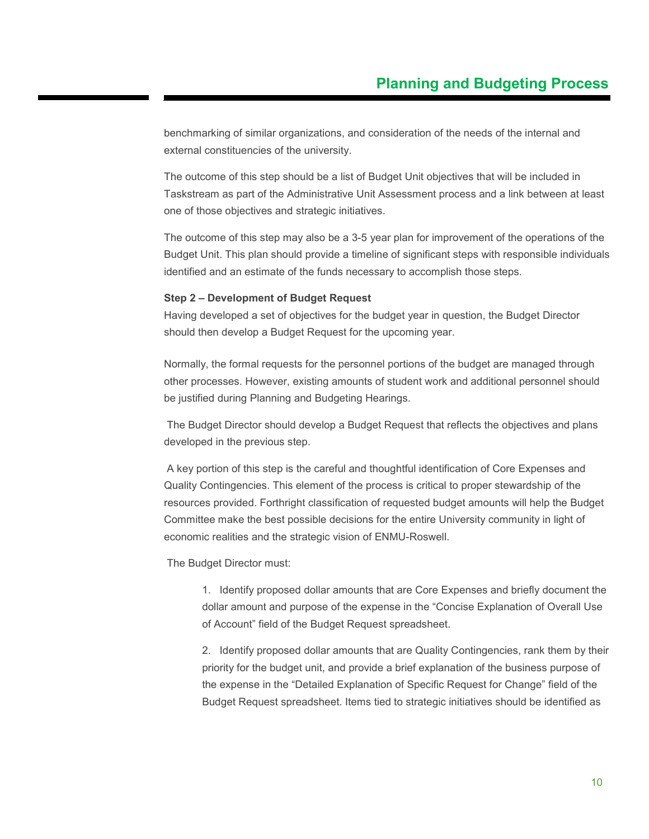benchmarking of similar organizations, and consideration of the needs of the internal and external constituencies of the university.

The outcome of this step should be a list of Budget Unit objectives that will be included in Taskstream as part of the Administrative Unit Assessment process and a link between at least one of those objectives and strategic initiatives.

The outcome of this step may also be a 3-5 year plan for improvement of the operations of the Budget Unit. This plan should provide a timeline of significant steps with responsible individuals identified and an estimate of the funds necessary to accomplish those steps.

#### **Step 2 – Development of Budget Request**

Having developed a set of objectives for the budget year in question, the Budget Director should then develop a Budget Request for the upcoming year.

Normally, the formal requests for the personnel portions of the budget are managed through other processes. However, existing amounts of student work and additional personnel should be justified during Planning and Budgeting Hearings.

The Budget Director should develop a Budget Request that reflects the objectives and plans developed in the previous step.

A key portion of this step is the careful and thoughtful identification of Core Expenses and Quality Contingencies. This element of the process is critical to proper stewardship of the resources provided. Forthright classification of requested budget amounts will help the Budget Committee make the best possible decisions for the entire University community in light of economic realities and the strategic vision of ENMU-Roswell.

The Budget Director must:

1. Identify proposed dollar amounts that are Core Expenses and briefly document the dollar amount and purpose of the expense in the "Concise Explanation of Overall Use of Account" field of the Budget Request spreadsheet.

2. Identify proposed dollar amounts that are Quality Contingencies, rank them by their priority for the budget unit, and provide a brief explanation of the business purpose of the expense in the "Detailed Explanation of Specific Request for Change" field of the Budget Request spreadsheet. Items tied to strategic initiatives should be identified as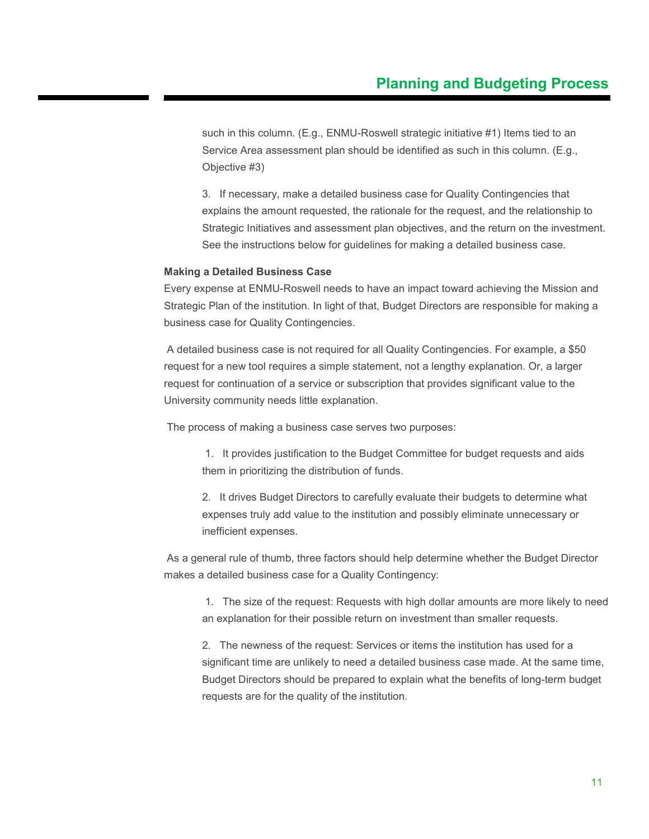such in this column. (E.g., ENMU-Roswell strategic initiative #1) Items tied to an Service Area assessment plan should be identified as such in this column. (E.g., Objective #3)

3. If necessary, make a detailed business case for Quality Contingencies that explains the amount requested, the rationale for the request, and the relationship to Strategic Initiatives and assessment plan objectives, and the return on the investment. See the instructions below for guidelines for making a detailed business case.

#### **Making a Detailed Business Case**

Every expense at ENMU-Roswell needs to have an impact toward achieving the Mission and Strategic Plan of the institution. In light of that, Budget Directors are responsible for making a business case for Quality Contingencies.

A detailed business case is not required for all Quality Contingencies. For example, a \$50 request for a new tool requires a simple statement, not a lengthy explanation. Or, a larger request for continuation of a service or subscription that provides significant value to the University community needs little explanation.

The process of making a business case serves two purposes:

1. It provides justification to the Budget Committee for budget requests and aids them in prioritizing the distribution of funds.

2. It drives Budget Directors to carefully evaluate their budgets to determine what expenses truly add value to the institution and possibly eliminate unnecessary or inefficient expenses.

As a general rule of thumb, three factors should help determine whether the Budget Director makes a detailed business case for a Quality Contingency:

1. The size of the request: Requests with high dollar amounts are more likely to need an explanation for their possible return on investment than smaller requests.

2. The newness of the request: Services or items the institution has used for a significant time are unlikely to need a detailed business case made. At the same time, Budget Directors should be prepared to explain what the benefits of long-term budget requests are for the quality of the institution.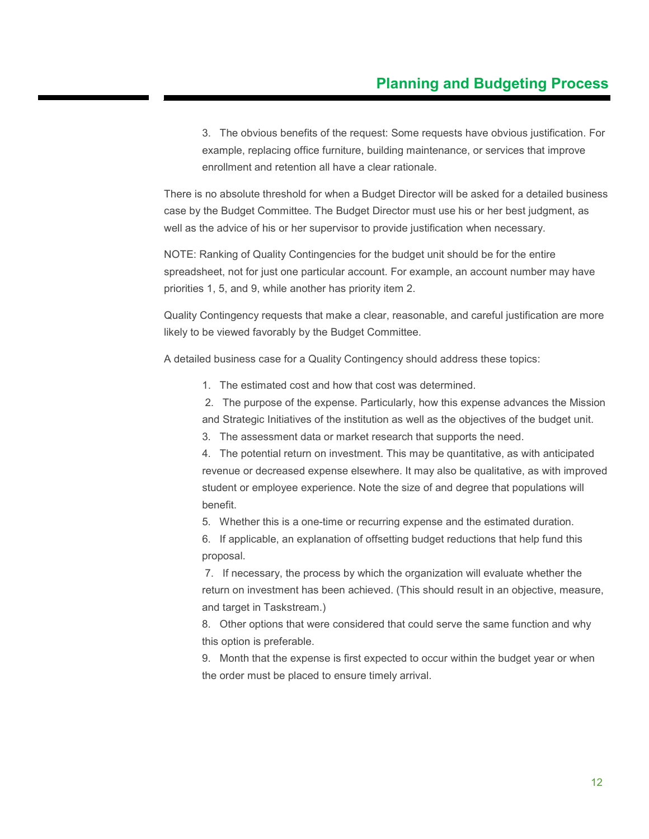3. The obvious benefits of the request: Some requests have obvious justification. For example, replacing office furniture, building maintenance, or services that improve enrollment and retention all have a clear rationale.

There is no absolute threshold for when a Budget Director will be asked for a detailed business case by the Budget Committee. The Budget Director must use his or her best judgment, as well as the advice of his or her supervisor to provide justification when necessary.

NOTE: Ranking of Quality Contingencies for the budget unit should be for the entire spreadsheet, not for just one particular account. For example, an account number may have priorities 1, 5, and 9, while another has priority item 2.

Quality Contingency requests that make a clear, reasonable, and careful justification are more likely to be viewed favorably by the Budget Committee.

A detailed business case for a Quality Contingency should address these topics:

1. The estimated cost and how that cost was determined.

2. The purpose of the expense. Particularly, how this expense advances the Mission and Strategic Initiatives of the institution as well as the objectives of the budget unit.

3. The assessment data or market research that supports the need.

4. The potential return on investment. This may be quantitative, as with anticipated revenue or decreased expense elsewhere. It may also be qualitative, as with improved student or employee experience. Note the size of and degree that populations will benefit.

5. Whether this is a one-time or recurring expense and the estimated duration.

6. If applicable, an explanation of offsetting budget reductions that help fund this proposal.

7. If necessary, the process by which the organization will evaluate whether the return on investment has been achieved. (This should result in an objective, measure, and target in Taskstream.)

8. Other options that were considered that could serve the same function and why this option is preferable.

9. Month that the expense is first expected to occur within the budget year or when the order must be placed to ensure timely arrival.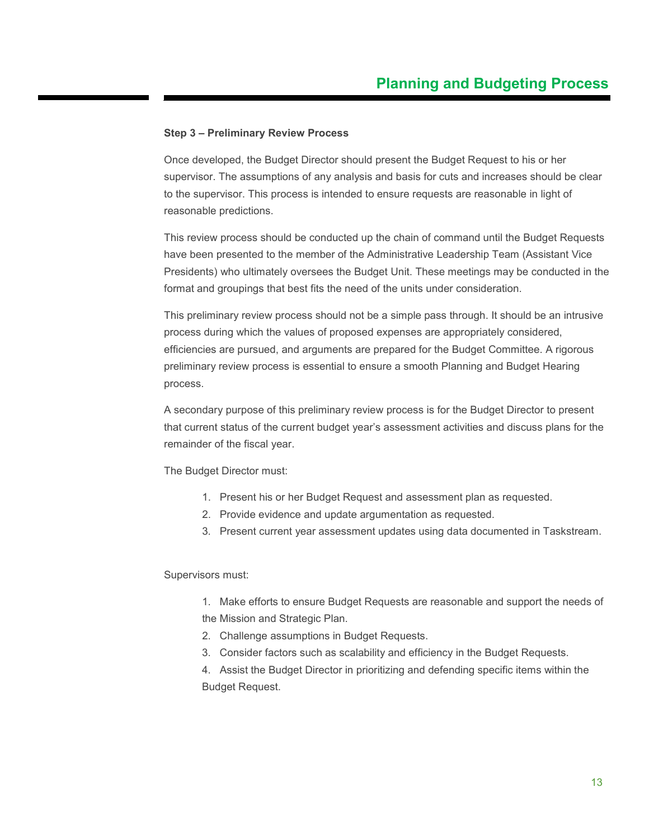#### **Step 3 – Preliminary Review Process**

Once developed, the Budget Director should present the Budget Request to his or her supervisor. The assumptions of any analysis and basis for cuts and increases should be clear to the supervisor. This process is intended to ensure requests are reasonable in light of reasonable predictions.

This review process should be conducted up the chain of command until the Budget Requests have been presented to the member of the Administrative Leadership Team (Assistant Vice Presidents) who ultimately oversees the Budget Unit. These meetings may be conducted in the format and groupings that best fits the need of the units under consideration.

This preliminary review process should not be a simple pass through. It should be an intrusive process during which the values of proposed expenses are appropriately considered, efficiencies are pursued, and arguments are prepared for the Budget Committee. A rigorous preliminary review process is essential to ensure a smooth Planning and Budget Hearing process.

A secondary purpose of this preliminary review process is for the Budget Director to present that current status of the current budget year's assessment activities and discuss plans for the remainder of the fiscal year.

The Budget Director must:

- 1. Present his or her Budget Request and assessment plan as requested.
- 2. Provide evidence and update argumentation as requested.
- 3. Present current year assessment updates using data documented in Taskstream.

#### Supervisors must:

1. Make efforts to ensure Budget Requests are reasonable and support the needs of the Mission and Strategic Plan.

- 2. Challenge assumptions in Budget Requests.
- 3. Consider factors such as scalability and efficiency in the Budget Requests.

4. Assist the Budget Director in prioritizing and defending specific items within the Budget Request.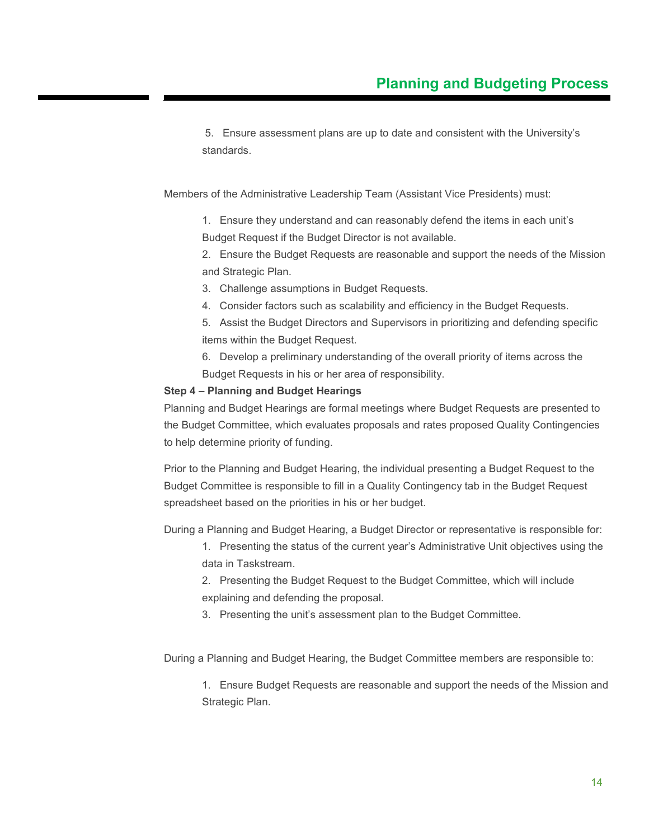5. Ensure assessment plans are up to date and consistent with the University's standards.

Members of the Administrative Leadership Team (Assistant Vice Presidents) must:

1. Ensure they understand and can reasonably defend the items in each unit's Budget Request if the Budget Director is not available.

2. Ensure the Budget Requests are reasonable and support the needs of the Mission and Strategic Plan.

- 3. Challenge assumptions in Budget Requests.
- 4. Consider factors such as scalability and efficiency in the Budget Requests.

5. Assist the Budget Directors and Supervisors in prioritizing and defending specific items within the Budget Request.

6. Develop a preliminary understanding of the overall priority of items across the Budget Requests in his or her area of responsibility.

#### **Step 4 – Planning and Budget Hearings**

Planning and Budget Hearings are formal meetings where Budget Requests are presented to the Budget Committee, which evaluates proposals and rates proposed Quality Contingencies to help determine priority of funding.

Prior to the Planning and Budget Hearing, the individual presenting a Budget Request to the Budget Committee is responsible to fill in a Quality Contingency tab in the Budget Request spreadsheet based on the priorities in his or her budget.

During a Planning and Budget Hearing, a Budget Director or representative is responsible for:

1. Presenting the status of the current year's Administrative Unit objectives using the data in Taskstream.

2. Presenting the Budget Request to the Budget Committee, which will include explaining and defending the proposal.

3. Presenting the unit's assessment plan to the Budget Committee.

During a Planning and Budget Hearing, the Budget Committee members are responsible to:

1. Ensure Budget Requests are reasonable and support the needs of the Mission and Strategic Plan.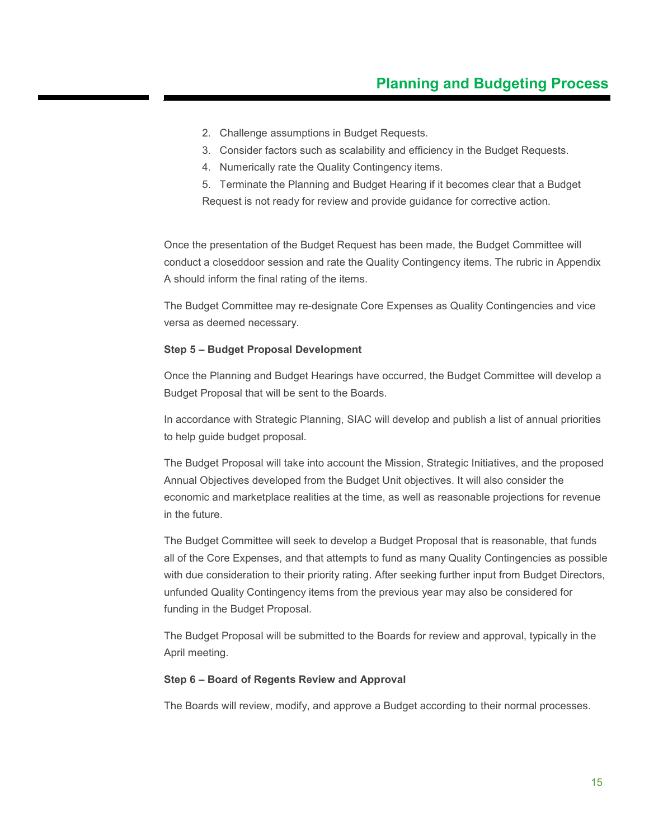- 2. Challenge assumptions in Budget Requests.
- 3. Consider factors such as scalability and efficiency in the Budget Requests.
- 4. Numerically rate the Quality Contingency items.

5. Terminate the Planning and Budget Hearing if it becomes clear that a Budget Request is not ready for review and provide guidance for corrective action.

Once the presentation of the Budget Request has been made, the Budget Committee will conduct a closeddoor session and rate the Quality Contingency items. The rubric in Appendix A should inform the final rating of the items.

The Budget Committee may re-designate Core Expenses as Quality Contingencies and vice versa as deemed necessary.

#### **Step 5 – Budget Proposal Development**

Once the Planning and Budget Hearings have occurred, the Budget Committee will develop a Budget Proposal that will be sent to the Boards.

In accordance with Strategic Planning, SIAC will develop and publish a list of annual priorities to help guide budget proposal.

The Budget Proposal will take into account the Mission, Strategic Initiatives, and the proposed Annual Objectives developed from the Budget Unit objectives. It will also consider the economic and marketplace realities at the time, as well as reasonable projections for revenue in the future.

The Budget Committee will seek to develop a Budget Proposal that is reasonable, that funds all of the Core Expenses, and that attempts to fund as many Quality Contingencies as possible with due consideration to their priority rating. After seeking further input from Budget Directors, unfunded Quality Contingency items from the previous year may also be considered for funding in the Budget Proposal.

The Budget Proposal will be submitted to the Boards for review and approval, typically in the April meeting.

#### **Step 6 – Board of Regents Review and Approval**

The Boards will review, modify, and approve a Budget according to their normal processes.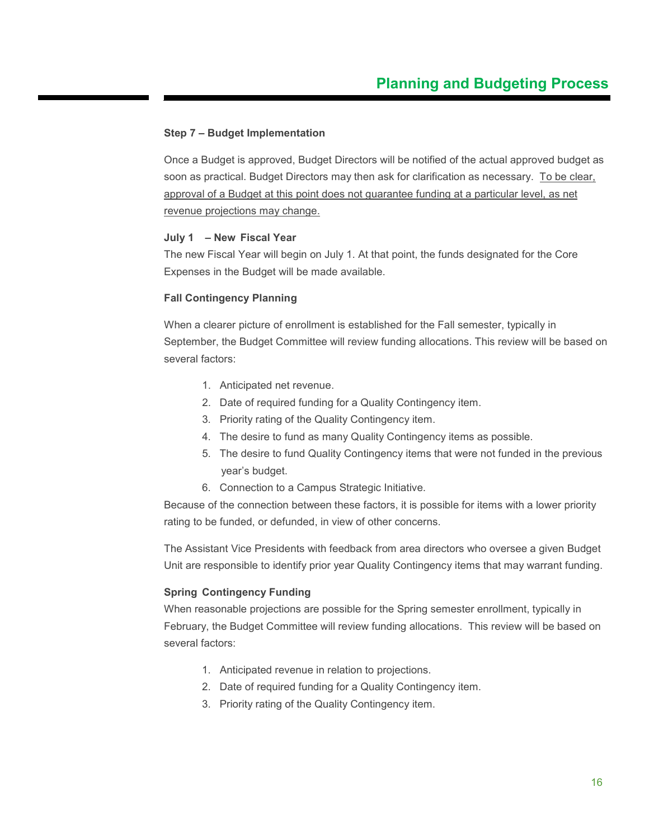#### **Step 7 – Budget Implementation**

Once a Budget is approved, Budget Directors will be notified of the actual approved budget as soon as practical. Budget Directors may then ask for clarification as necessary. To be clear, approval of a Budget at this point does not guarantee funding at a particular level, as net revenue projections may change.

#### **July 1 – New Fiscal Year**

The new Fiscal Year will begin on July 1. At that point, the funds designated for the Core Expenses in the Budget will be made available.

#### **Fall Contingency Planning**

When a clearer picture of enrollment is established for the Fall semester, typically in September, the Budget Committee will review funding allocations. This review will be based on several factors:

- 1. Anticipated net revenue.
- 2. Date of required funding for a Quality Contingency item.
- 3. Priority rating of the Quality Contingency item.
- 4. The desire to fund as many Quality Contingency items as possible.
- 5. The desire to fund Quality Contingency items that were not funded in the previous year's budget.
- 6. Connection to a Campus Strategic Initiative.

Because of the connection between these factors, it is possible for items with a lower priority rating to be funded, or defunded, in view of other concerns.

The Assistant Vice Presidents with feedback from area directors who oversee a given Budget Unit are responsible to identify prior year Quality Contingency items that may warrant funding.

#### **Spring Contingency Funding**

When reasonable projections are possible for the Spring semester enrollment, typically in February, the Budget Committee will review funding allocations. This review will be based on several factors:

- 1. Anticipated revenue in relation to projections.
- 2. Date of required funding for a Quality Contingency item.
- 3. Priority rating of the Quality Contingency item.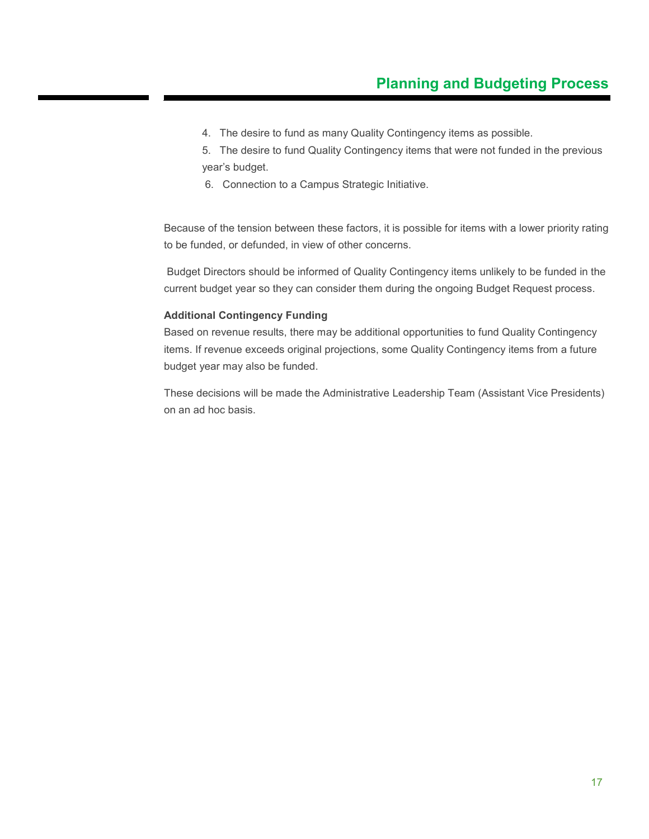4. The desire to fund as many Quality Contingency items as possible.

5. The desire to fund Quality Contingency items that were not funded in the previous year's budget.

6. Connection to a Campus Strategic Initiative.

Because of the tension between these factors, it is possible for items with a lower priority rating to be funded, or defunded, in view of other concerns.

Budget Directors should be informed of Quality Contingency items unlikely to be funded in the current budget year so they can consider them during the ongoing Budget Request process.

#### **Additional Contingency Funding**

Based on revenue results, there may be additional opportunities to fund Quality Contingency items. If revenue exceeds original projections, some Quality Contingency items from a future budget year may also be funded.

These decisions will be made the Administrative Leadership Team (Assistant Vice Presidents) on an ad hoc basis.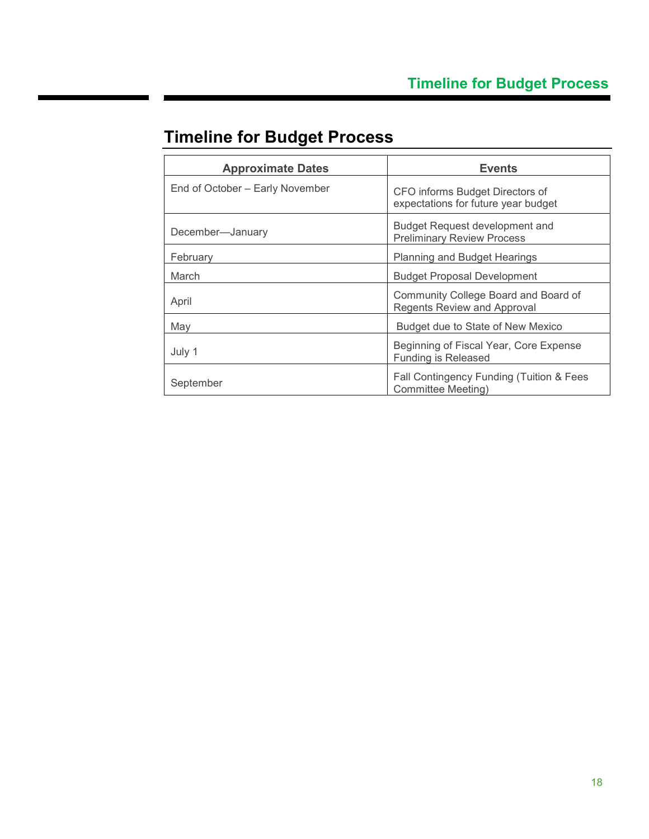| <b>Approximate Dates</b>        | <b>Events</b>                                                              |  |
|---------------------------------|----------------------------------------------------------------------------|--|
| End of October – Early November | CFO informs Budget Directors of<br>expectations for future year budget     |  |
| December-January                | <b>Budget Request development and</b><br><b>Preliminary Review Process</b> |  |
| February                        | <b>Planning and Budget Hearings</b>                                        |  |
| March                           | <b>Budget Proposal Development</b>                                         |  |
| April                           | Community College Board and Board of<br><b>Regents Review and Approval</b> |  |
| May                             | Budget due to State of New Mexico                                          |  |
| July 1                          | Beginning of Fiscal Year, Core Expense<br><b>Funding is Released</b>       |  |
| September                       | Fall Contingency Funding (Tuition & Fees<br>Committee Meeting)             |  |

## <span id="page-17-0"></span>**Timeline for Budget Process**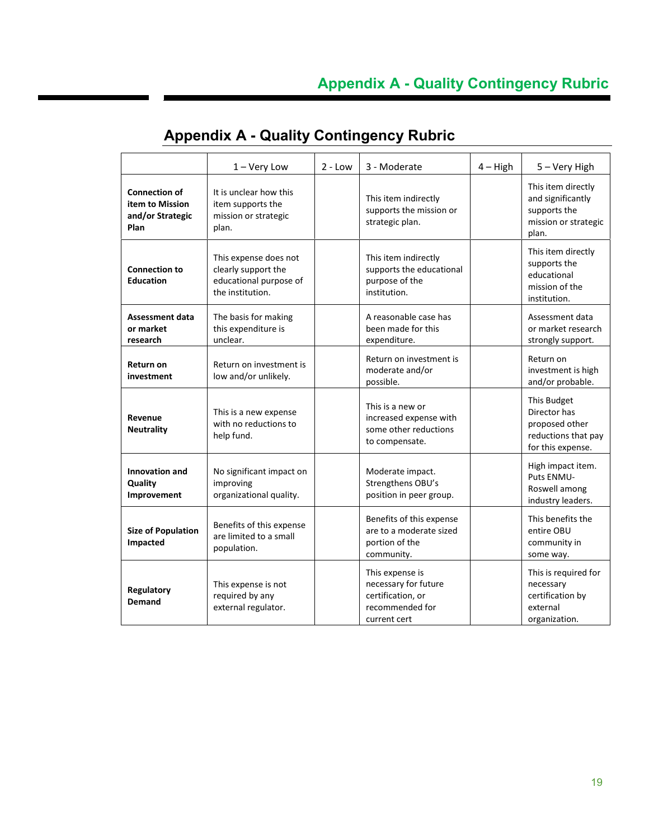|                                                                     | $1 -$ Very Low                                                                             | $2 - Low$ | 3 - Moderate                                                                                    | $4 - High$ | 5 - Very High                                                                             |
|---------------------------------------------------------------------|--------------------------------------------------------------------------------------------|-----------|-------------------------------------------------------------------------------------------------|------------|-------------------------------------------------------------------------------------------|
| <b>Connection of</b><br>item to Mission<br>and/or Strategic<br>Plan | It is unclear how this<br>item supports the<br>mission or strategic<br>plan.               |           | This item indirectly<br>supports the mission or<br>strategic plan.                              |            | This item directly<br>and significantly<br>supports the<br>mission or strategic<br>plan.  |
| <b>Connection to</b><br><b>Education</b>                            | This expense does not<br>clearly support the<br>educational purpose of<br>the institution. |           | This item indirectly<br>supports the educational<br>purpose of the<br>institution.              |            | This item directly<br>supports the<br>educational<br>mission of the<br>institution.       |
| <b>Assessment data</b><br>or market<br>research                     | The basis for making<br>this expenditure is<br>unclear.                                    |           | A reasonable case has<br>been made for this<br>expenditure.                                     |            | Assessment data<br>or market research<br>strongly support.                                |
| <b>Return on</b><br>investment                                      | Return on investment is<br>low and/or unlikely.                                            |           | Return on investment is<br>moderate and/or<br>possible.                                         |            | Return on<br>investment is high<br>and/or probable.                                       |
| Revenue<br><b>Neutrality</b>                                        | This is a new expense<br>with no reductions to<br>help fund.                               |           | This is a new or<br>increased expense with<br>some other reductions<br>to compensate.           |            | This Budget<br>Director has<br>proposed other<br>reductions that pay<br>for this expense. |
| <b>Innovation and</b><br>Quality<br>Improvement                     | No significant impact on<br>improving<br>organizational quality.                           |           | Moderate impact.<br>Strengthens OBU's<br>position in peer group.                                |            | High impact item.<br>Puts ENMU-<br>Roswell among<br>industry leaders.                     |
| <b>Size of Population</b><br>Impacted                               | Benefits of this expense<br>are limited to a small<br>population.                          |           | Benefits of this expense<br>are to a moderate sized<br>portion of the<br>community.             |            | This benefits the<br>entire OBU<br>community in<br>some way.                              |
| Regulatory<br><b>Demand</b>                                         | This expense is not<br>required by any<br>external regulator.                              |           | This expense is<br>necessary for future<br>certification, or<br>recommended for<br>current cert |            | This is required for<br>necessary<br>certification by<br>external<br>organization.        |

### <span id="page-18-0"></span>**Appendix A - Quality Contingency Rubric**